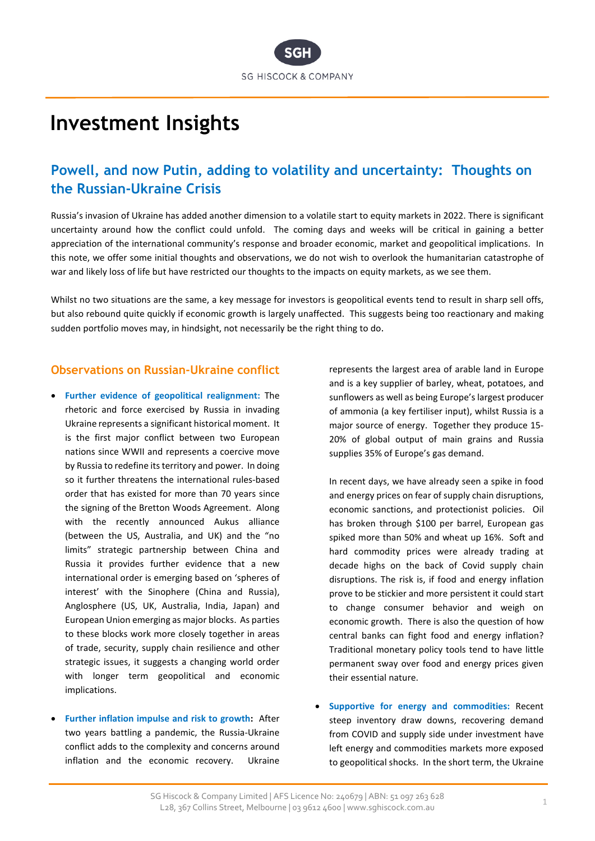## **Investment Insights**

## **Powell, and now Putin, adding to volatility and uncertainty: Thoughts on the Russian-Ukraine Crisis**

Russia's invasion of Ukraine has added another dimension to a volatile start to equity markets in 2022. There is significant uncertainty around how the conflict could unfold. The coming days and weeks will be critical in gaining a better appreciation of the international community's response and broader economic, market and geopolitical implications. In this note, we offer some initial thoughts and observations, we do not wish to overlook the humanitarian catastrophe of war and likely loss of life but have restricted our thoughts to the impacts on equity markets, as we see them.

Whilst no two situations are the same, a key message for investors is geopolitical events tend to result in sharp sell offs, but also rebound quite quickly if economic growth is largely unaffected. This suggests being too reactionary and making sudden portfolio moves may, in hindsight, not necessarily be the right thing to do.

## **Observations on Russian-Ukraine conflict**

- **Further evidence of geopolitical realignment:** The rhetoric and force exercised by Russia in invading Ukraine represents a significant historical moment. It is the first major conflict between two European nations since WWII and represents a coercive move by Russia to redefine its territory and power. In doing so it further threatens the international rules-based order that has existed for more than 70 years since the signing of the Bretton Woods Agreement. Along with the recently announced Aukus alliance (between the US, Australia, and UK) and the "no limits" strategic partnership between China and Russia it provides further evidence that a new international order is emerging based on 'spheres of interest' with the Sinophere (China and Russia), Anglosphere (US, UK, Australia, India, Japan) and European Union emerging as major blocks. As parties to these blocks work more closely together in areas of trade, security, supply chain resilience and other strategic issues, it suggests a changing world order with longer term geopolitical and economic implications.
- **Further inflation impulse and risk to growth:** After two years battling a pandemic, the Russia-Ukraine conflict adds to the complexity and concerns around inflation and the economic recovery. Ukraine

represents the largest area of arable land in Europe and is a key supplier of barley, wheat, potatoes, and sunflowers as well as being Europe's largest producer of ammonia (a key fertiliser input), whilst Russia is a major source of energy. Together they produce 15- 20% of global output of main grains and Russia supplies 35% of Europe's gas demand.

In recent days, we have already seen a spike in food and energy prices on fear of supply chain disruptions, economic sanctions, and protectionist policies. Oil has broken through \$100 per barrel, European gas spiked more than 50% and wheat up 16%. Soft and hard commodity prices were already trading at decade highs on the back of Covid supply chain disruptions. The risk is, if food and energy inflation prove to be stickier and more persistent it could start to change consumer behavior and weigh on economic growth. There is also the question of how central banks can fight food and energy inflation? Traditional monetary policy tools tend to have little permanent sway over food and energy prices given their essential nature.

 **Supportive for energy and commodities:** Recent steep inventory draw downs, recovering demand from COVID and supply side under investment have left energy and commodities markets more exposed to geopolitical shocks. In the short term, the Ukraine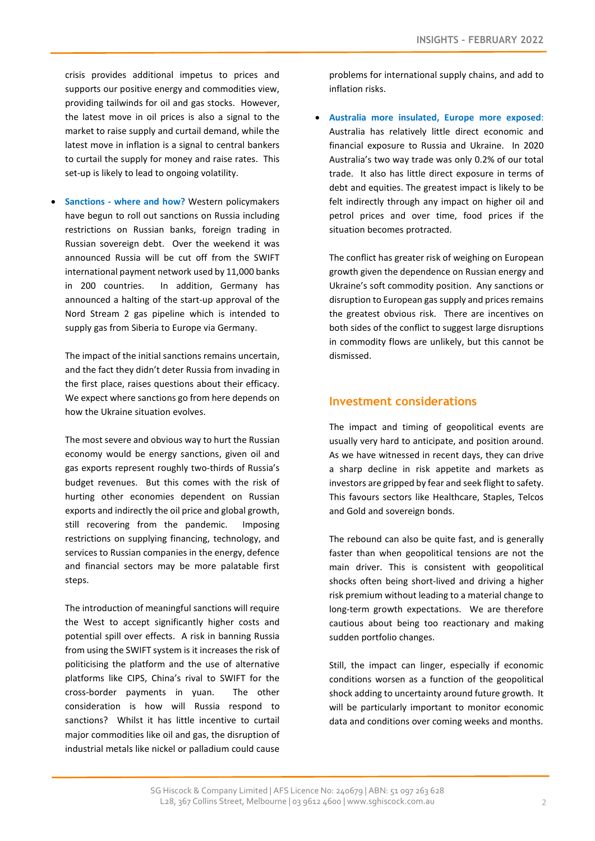crisis provides additional impetus to prices and supports our positive energy and commodities view, providing tailwinds for oil and gas stocks. However, the latest move in oil prices is also a signal to the market to raise supply and curtail demand, while the latest move in inflation is a signal to central bankers to curtail the supply for money and raise rates. This set-up is likely to lead to ongoing volatility.

 **Sanctions - where and how?** Western policymakers have begun to roll out sanctions on Russia including restrictions on Russian banks, foreign trading in Russian sovereign debt. Over the weekend it was announced Russia will be cut off from the SWIFT international payment network used by 11,000 banks in 200 countries. In addition, Germany has announced a halting of the start-up approval of the Nord Stream 2 gas pipeline which is intended to supply gas from Siberia to Europe via Germany.

The impact of the initial sanctions remains uncertain, and the fact they didn't deter Russia from invading in the first place, raises questions about their efficacy. We expect where sanctions go from here depends on how the Ukraine situation evolves.

The most severe and obvious way to hurt the Russian economy would be energy sanctions, given oil and gas exports represent roughly two-thirds of Russia's budget revenues. But this comes with the risk of hurting other economies dependent on Russian exports and indirectly the oil price and global growth, still recovering from the pandemic. Imposing restrictions on supplying financing, technology, and services to Russian companies in the energy, defence and financial sectors may be more palatable first steps.

The introduction of meaningful sanctions will require the West to accept significantly higher costs and potential spill over effects. A risk in banning Russia from using the SWIFT system is it increases the risk of politicising the platform and the use of alternative platforms like CIPS, China's rival to SWIFT for the cross-border payments in yuan. The other consideration is how will Russia respond to sanctions? Whilst it has little incentive to curtail major commodities like oil and gas, the disruption of industrial metals like nickel or palladium could cause

problems for international supply chains, and add to inflation risks.

 **Australia more insulated, Europe more exposed**: Australia has relatively little direct economic and financial exposure to Russia and Ukraine. In 2020 Australia's two way trade was only 0.2% of our total trade. It also has little direct exposure in terms of debt and equities. The greatest impact is likely to be felt indirectly through any impact on higher oil and petrol prices and over time, food prices if the situation becomes protracted.

The conflict has greater risk of weighing on European growth given the dependence on Russian energy and Ukraine's soft commodity position. Any sanctions or disruption to European gas supply and prices remains the greatest obvious risk. There are incentives on both sides of the conflict to suggest large disruptions in commodity flows are unlikely, but this cannot be dismissed.

## **Investment considerations**

The impact and timing of geopolitical events are usually very hard to anticipate, and position around. As we have witnessed in recent days, they can drive a sharp decline in risk appetite and markets as investors are gripped by fear and seek flight to safety. This favours sectors like Healthcare, Staples, Telcos and Gold and sovereign bonds.

The rebound can also be quite fast, and is generally faster than when geopolitical tensions are not the main driver. This is consistent with geopolitical shocks often being short-lived and driving a higher risk premium without leading to a material change to long-term growth expectations. We are therefore cautious about being too reactionary and making sudden portfolio changes.

Still, the impact can linger, especially if economic conditions worsen as a function of the geopolitical shock adding to uncertainty around future growth. It will be particularly important to monitor economic data and conditions over coming weeks and months.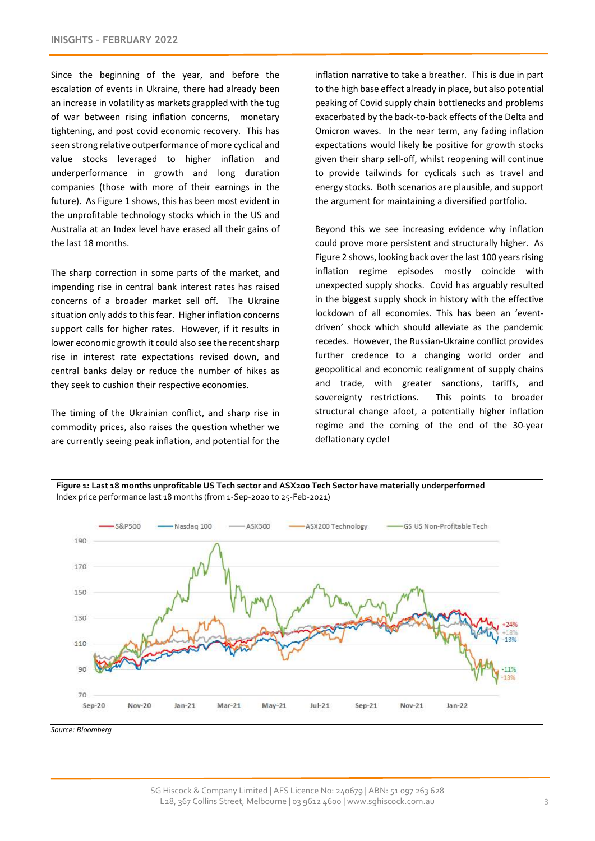Since the beginning of the year, and before the escalation of events in Ukraine, there had already been an increase in volatility as markets grappled with the tug of war between rising inflation concerns, monetary tightening, and post covid economic recovery. This has seen strong relative outperformance of more cyclical and value stocks leveraged to higher inflation and underperformance in growth and long duration companies (those with more of their earnings in the future). As Figure 1 shows, this has been most evident in the unprofitable technology stocks which in the US and Australia at an Index level have erased all their gains of the last 18 months.

The sharp correction in some parts of the market, and impending rise in central bank interest rates has raised concerns of a broader market sell off. The Ukraine situation only adds to this fear. Higher inflation concerns support calls for higher rates. However, if it results in lower economic growth it could also see the recent sharp rise in interest rate expectations revised down, and central banks delay or reduce the number of hikes as they seek to cushion their respective economies.

The timing of the Ukrainian conflict, and sharp rise in commodity prices, also raises the question whether we are currently seeing peak inflation, and potential for the inflation narrative to take a breather. This is due in part to the high base effect already in place, but also potential peaking of Covid supply chain bottlenecks and problems exacerbated by the back-to-back effects of the Delta and Omicron waves. In the near term, any fading inflation expectations would likely be positive for growth stocks given their sharp sell-off, whilst reopening will continue to provide tailwinds for cyclicals such as travel and energy stocks. Both scenarios are plausible, and support the argument for maintaining a diversified portfolio.

Beyond this we see increasing evidence why inflation could prove more persistent and structurally higher. As Figure 2 shows, looking back over the last 100 years rising inflation regime episodes mostly coincide with unexpected supply shocks. Covid has arguably resulted in the biggest supply shock in history with the effective lockdown of all economies. This has been an 'eventdriven' shock which should alleviate as the pandemic recedes. However, the Russian-Ukraine conflict provides further credence to a changing world order and geopolitical and economic realignment of supply chains and trade, with greater sanctions, tariffs, and sovereignty restrictions. This points to broader structural change afoot, a potentially higher inflation regime and the coming of the end of the 30-year deflationary cycle!



**Figure 1: Last 18 months unprofitable US Tech sector and ASX200 Tech Sector have materially underperformed**  Index price performance last 18 months (from 1-Sep-2020 to 25-Feb-2021)

*Source: Bloomberg*